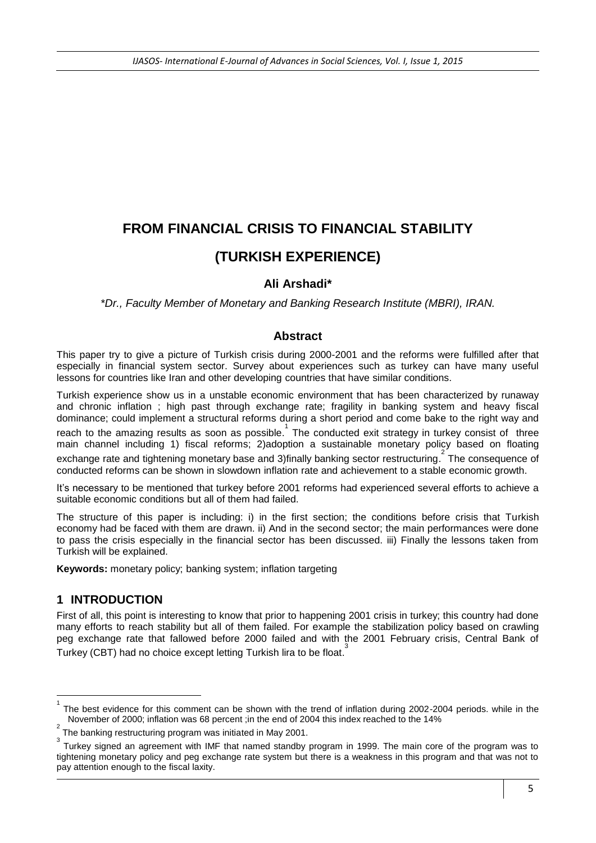# **FROM FINANCIAL CRISIS TO FINANCIAL STABILITY (TURKISH EXPERIENCE)**

# **Ali Arshadi\***

*\*Dr., Faculty Member of Monetary and Banking Research Institute (MBRI), IRAN.* 

## **Abstract**

This paper try to give a picture of Turkish crisis during 2000-2001 and the reforms were fulfilled after that especially in financial system sector. Survey about experiences such as turkey can have many useful lessons for countries like Iran and other developing countries that have similar conditions.

Turkish experience show us in a unstable economic environment that has been characterized by runaway and chronic inflation ; high past through exchange rate; fragility in banking system and heavy fiscal dominance; could implement a structural reforms during a short period and come bake to the right way and reach to the amazing results as soon as possible. The conducted exit strategy in turkey consist of three main channel including 1) fiscal reforms; 2)adoption a sustainable monetary policy based on floating exchange rate and tightening monetary base and 3)finally banking sector restructuring. The consequence of conducted reforms can be shown in slowdown inflation rate and achievement to a stable economic growth.

It's necessary to be mentioned that turkey before 2001 reforms had experienced several efforts to achieve a suitable economic conditions but all of them had failed.

The structure of this paper is including: i) in the first section; the conditions before crisis that Turkish economy had be faced with them are drawn. ii) And in the second sector; the main performances were done to pass the crisis especially in the financial sector has been discussed. iii) Finally the lessons taken from Turkish will be explained.

**Keywords:** monetary policy; banking system; inflation targeting

# **1 INTRODUCTION**

**.** 

First of all, this point is interesting to know that prior to happening 2001 crisis in turkey; this country had done many efforts to reach stability but all of them failed. For example the stabilization policy based on crawling peg exchange rate that fallowed before 2000 failed and with the 2001 February crisis, Central Bank of Turkey (CBT) had no choice except letting Turkish lira to be float.<sup>3</sup>

<sup>1</sup> The best evidence for this comment can be shown with the trend of inflation during 2002-2004 periods. while in the November of 2000; inflation was 68 percent ;in the end of 2004 this index reached to the 14%

<sup>2</sup> The banking restructuring program was initiated in May 2001.

<sup>3</sup> Turkey signed an agreement with IMF that named standby program in 1999. The main core of the program was to tightening monetary policy and peg exchange rate system but there is a weakness in this program and that was not to pay attention enough to the fiscal laxity.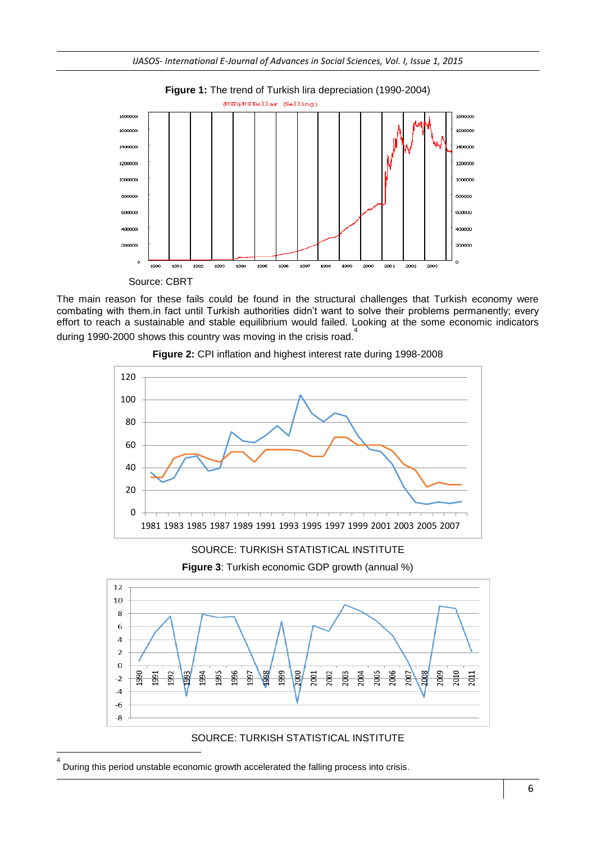

The main reason for these fails could be found in the structural challenges that Turkish economy were combating with them.in fact until Turkish authorities didn't want to solve their problems permanently; every effort to reach a sustainable and stable equilibrium would failed. Looking at the some economic indicators <sup>4</sup><br>. during 1990-2000 shows this country was moving in the crisis road.



**Figure 2:** CPI inflation and highest interest rate during 1998-2008







SOURCE: TURKISH STATISTICAL INSTITUTE

4 During this period unstable economic growth accelerated the falling process into crisis.

1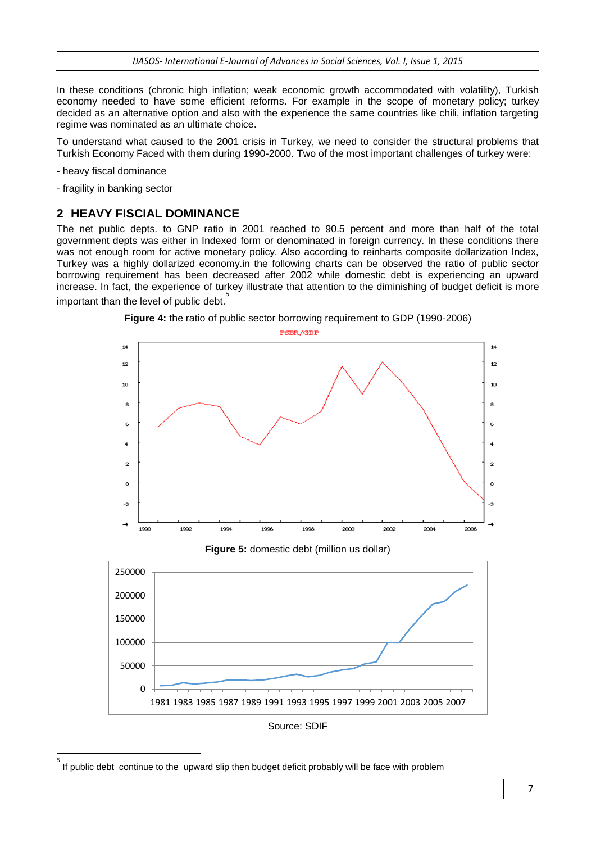In these conditions (chronic high inflation; weak economic growth accommodated with volatility), Turkish economy needed to have some efficient reforms. For example in the scope of monetary policy; turkey decided as an alternative option and also with the experience the same countries like chili, inflation targeting regime was nominated as an ultimate choice.

To understand what caused to the 2001 crisis in Turkey, we need to consider the structural problems that Turkish Economy Faced with them during 1990-2000. Two of the most important challenges of turkey were:

- heavy fiscal dominance

**.** 5

- fragility in banking sector

#### **2 HEAVY FISCIAL DOMINANCE**

The net public depts. to GNP ratio in 2001 reached to 90.5 percent and more than half of the total government depts was either in Indexed form or denominated in foreign currency. In these conditions there was not enough room for active monetary policy. Also according to reinharts composite dollarization Index, Turkey was a highly dollarized economy.in the following charts can be observed the ratio of public sector borrowing requirement has been decreased after 2002 while domestic debt is experiencing an upward increase. In fact, the experience of turkey illustrate that attention to the diminishing of budget deficit is more important than the level of public debt.<sup>5</sup>





If public debt continue to the upward slip then budget deficit probably will be face with problem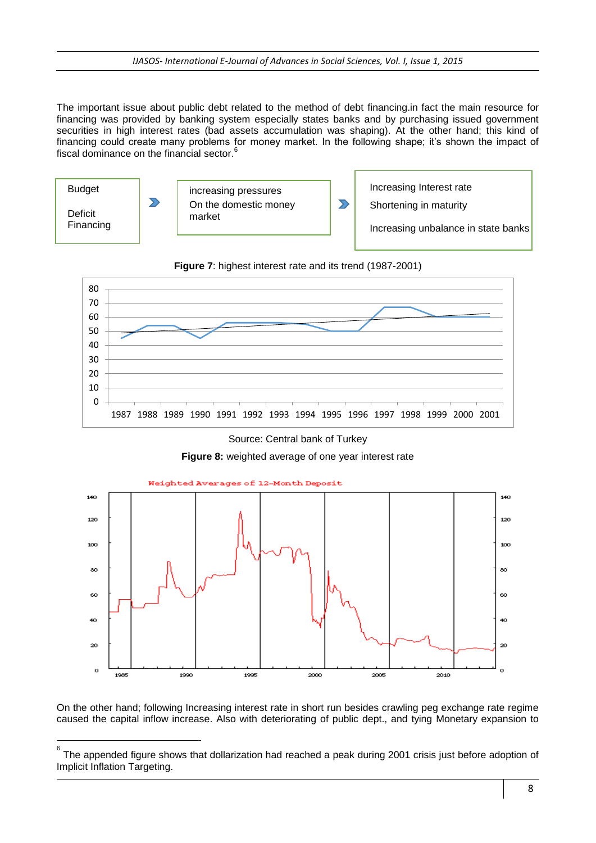The important issue about public debt related to the method of debt financing.in fact the main resource for financing was provided by banking system especially states banks and by purchasing issued government securities in high interest rates (bad assets accumulation was shaping). At the other hand; this kind of financing could create many problems for money market. In the following shape; it's shown the impact of fiscal dominance on the financial sector.<sup>6</sup>





**Figure 7**: highest interest rate and its trend (1987-2001)

Source: Central bank of Turkey





On the other hand; following Increasing interest rate in short run besides crawling peg exchange rate regime caused the capital inflow increase. Also with deteriorating of public dept., and tying Monetary expansion to

 6 The appended figure shows that dollarization had reached a peak during 2001 crisis just before adoption of Implicit Inflation Targeting.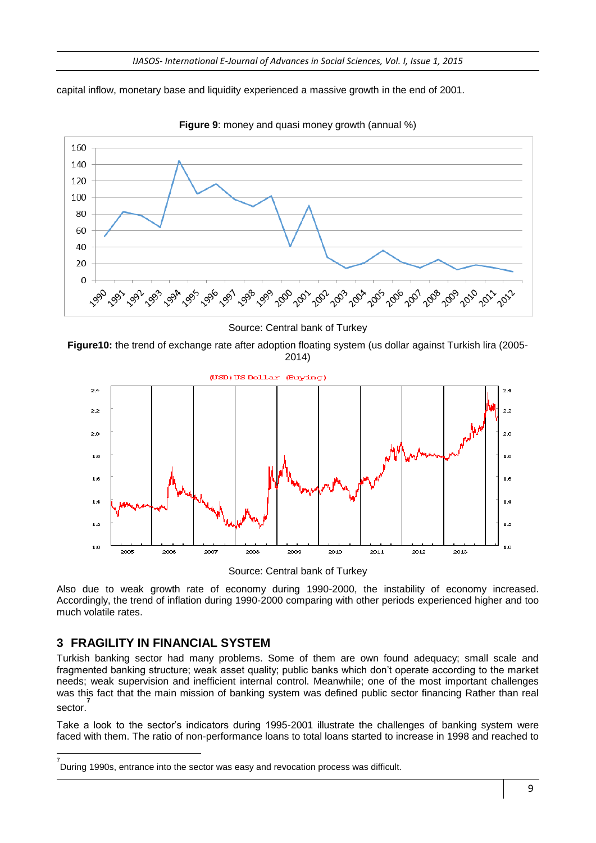capital inflow, monetary base and liquidity experienced a massive growth in the end of 2001.



**Figure 9**: money and quasi money growth (annual %)

Source: Central bank of Turkey

**Figure10:** the trend of exchange rate after adoption floating system (us dollar against Turkish lira (2005- 2014)



Source: Central bank of Turkey

Also due to weak growth rate of economy during 1990-2000, the instability of economy increased. Accordingly, the trend of inflation during 1990-2000 comparing with other periods experienced higher and too much volatile rates.

# **3 FRAGILITY IN FINANCIAL SYSTEM**

**.** 

Turkish banking sector had many problems. Some of them are own found adequacy; small scale and fragmented banking structure; weak asset quality; public banks which don't operate according to the market needs; weak supervision and inefficient internal control. Meanwhile; one of the most important challenges was this fact that the main mission of banking system was defined public sector financing Rather than real sector. **7**

Take a look to the sector's indicators during 1995-2001 illustrate the challenges of banking system were faced with them. The ratio of non-performance loans to total loans started to increase in 1998 and reached to

<sup>&</sup>lt;sup>7</sup><br>During 1990s, entrance into the sector was easy and revocation process was difficult.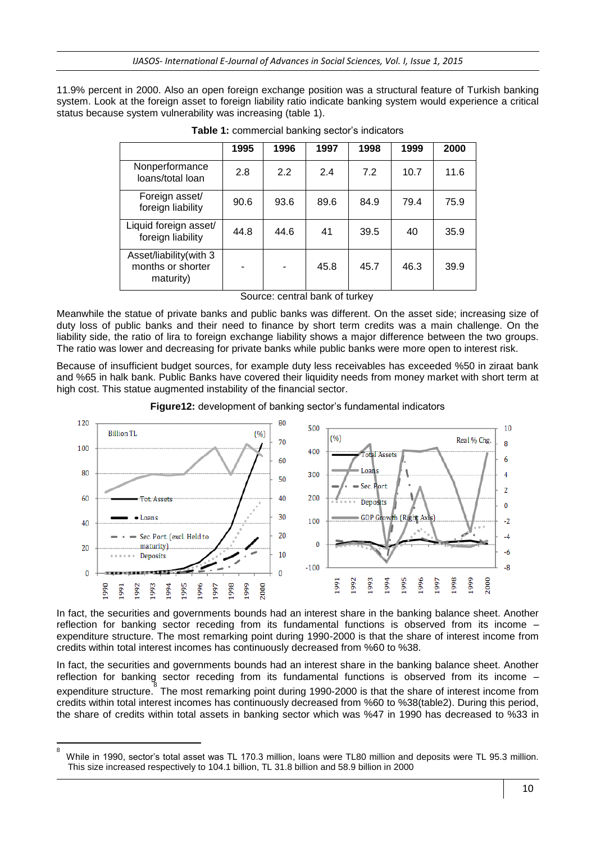11.9% percent in 2000. Also an open foreign exchange position was a structural feature of Turkish banking system. Look at the foreign asset to foreign liability ratio indicate banking system would experience a critical status because system vulnerability was increasing (table 1).

|                                                          | 1995 | 1996 | 1997 | 1998 | 1999 | 2000 |
|----------------------------------------------------------|------|------|------|------|------|------|
| Nonperformance<br>loans/total loan                       | 2.8  | 2.2  | 2.4  | 7.2  | 10.7 | 11.6 |
| Foreign asset/<br>foreign liability                      | 90.6 | 93.6 | 89.6 | 84.9 | 79.4 | 75.9 |
| Liquid foreign asset/<br>foreign liability               | 44.8 | 44.6 | 41   | 39.5 | 40   | 35.9 |
| Asset/liability(with 3<br>months or shorter<br>maturity) |      |      | 45.8 | 45.7 | 46.3 | 39.9 |

**Table 1:** commercial banking sector's indicators

Source: central bank of turkey

Meanwhile the statue of private banks and public banks was different. On the asset side; increasing size of duty loss of public banks and their need to finance by short term credits was a main challenge. On the liability side, the ratio of lira to foreign exchange liability shows a major difference between the two groups. The ratio was lower and decreasing for private banks while public banks were more open to interest risk.

Because of insufficient budget sources, for example duty less receivables has exceeded %50 in ziraat bank and %65 in halk bank. Public Banks have covered their liquidity needs from money market with short term at high cost. This statue augmented instability of the financial sector.

**Figure12:** development of banking sector's fundamental indicators



In fact, the securities and governments bounds had an interest share in the banking balance sheet. Another reflection for banking sector receding from its fundamental functions is observed from its income – expenditure structure. The most remarking point during 1990-2000 is that the share of interest income from credits within total interest incomes has continuously decreased from %60 to %38.

In fact, the securities and governments bounds had an interest share in the banking balance sheet. Another reflection for banking sector receding from its fundamental functions is observed from its income – expenditure structure. The most remarking point during 1990-2000 is that the share of interest income from credits within total interest incomes has continuously decreased from %60 to %38(table2). During this period, the share of credits within total assets in banking sector which was %47 in 1990 has decreased to %33 in

<sup>-&</sup>lt;br>8 While in 1990, sector's total asset was TL 170.3 million, loans were TL80 million and deposits were TL 95.3 million. This size increased respectively to 104.1 billion, TL 31.8 billion and 58.9 billion in 2000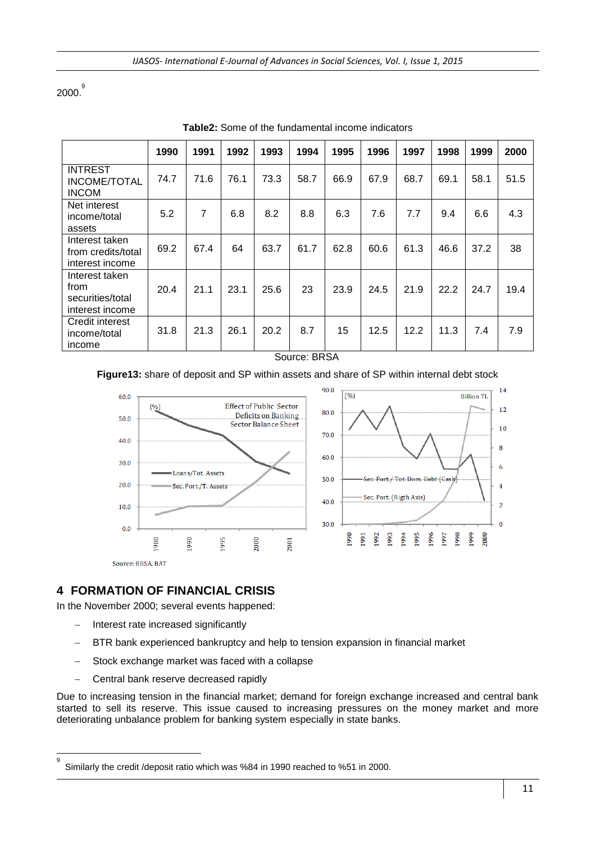2000. 9

|                                                               | 1990 | 1991           | 1992 | 1993 | 1994 | 1995 | 1996 | 1997 | 1998 | 1999 | 2000 |
|---------------------------------------------------------------|------|----------------|------|------|------|------|------|------|------|------|------|
| <b>INTREST</b><br><b>INCOME/TOTAL</b><br><b>INCOM</b>         | 74.7 | 71.6           | 76.1 | 73.3 | 58.7 | 66.9 | 67.9 | 68.7 | 69.1 | 58.1 | 51.5 |
| Net interest<br>income/total<br>assets                        | 5.2  | $\overline{7}$ | 6.8  | 8.2  | 8.8  | 6.3  | 7.6  | 7.7  | 9.4  | 6.6  | 4.3  |
| Interest taken<br>from credits/total<br>interest income       | 69.2 | 67.4           | 64   | 63.7 | 61.7 | 62.8 | 60.6 | 61.3 | 46.6 | 37.2 | 38   |
| Interest taken<br>from<br>securities/total<br>interest income | 20.4 | 21.1           | 23.1 | 25.6 | 23   | 23.9 | 24.5 | 21.9 | 22.2 | 24.7 | 19.4 |
| Credit interest<br>income/total<br>income                     | 31.8 | 21.3           | 26.1 | 20.2 | 8.7  | 15   | 12.5 | 12.2 | 11.3 | 7.4  | 7.9  |

**Table2:** Some of the fundamental income indicators

#### Source: BRSA

#### **Figure13:** share of deposit and SP within assets and share of SP within internal debt stock



# **4 FORMATION OF FINANCIAL CRISIS**

In the November 2000; several events happened:

- Interest rate increased significantly
- BTR bank experienced bankruptcy and help to tension expansion in financial market
- Stock exchange market was faced with a collapse
- Central bank reserve decreased rapidly

Due to increasing tension in the financial market; demand for foreign exchange increased and central bank started to sell its reserve. This issue caused to increasing pressures on the money market and more deteriorating unbalance problem for banking system especially in state banks.

<sup>-&</sup>lt;br>9 Similarly the credit /deposit ratio which was %84 in 1990 reached to %51 in 2000.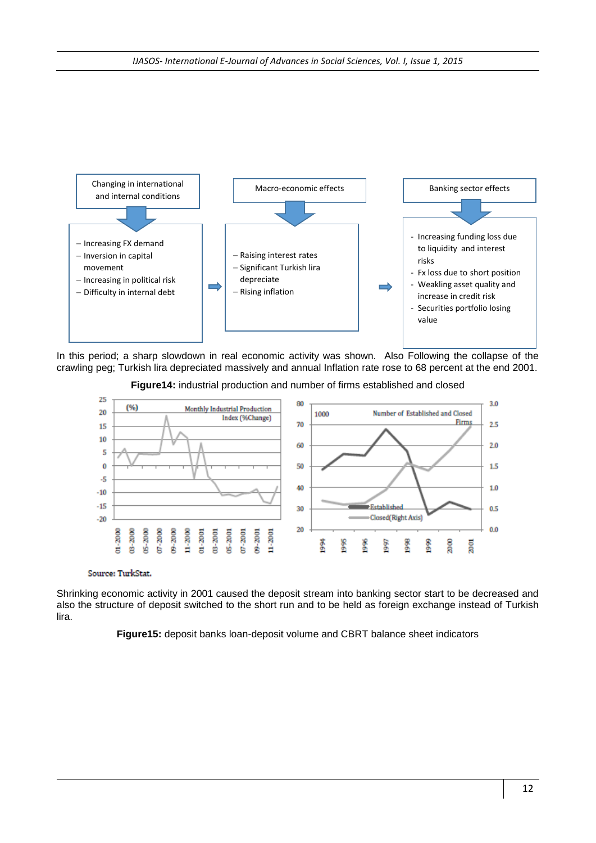

In this period; a sharp slowdown in real economic activity was shown. Also Following the collapse of the crawling peg; Turkish lira depreciated massively and annual Inflation rate rose to 68 percent at the end 2001.

**Figure14:** industrial production and number of firms established and closed



Source: TurkStat.

Shrinking economic activity in 2001 caused the deposit stream into banking sector start to be decreased and also the structure of deposit switched to the short run and to be held as foreign exchange instead of Turkish lira.

**Figure15:** deposit banks loan-deposit volume and CBRT balance sheet indicators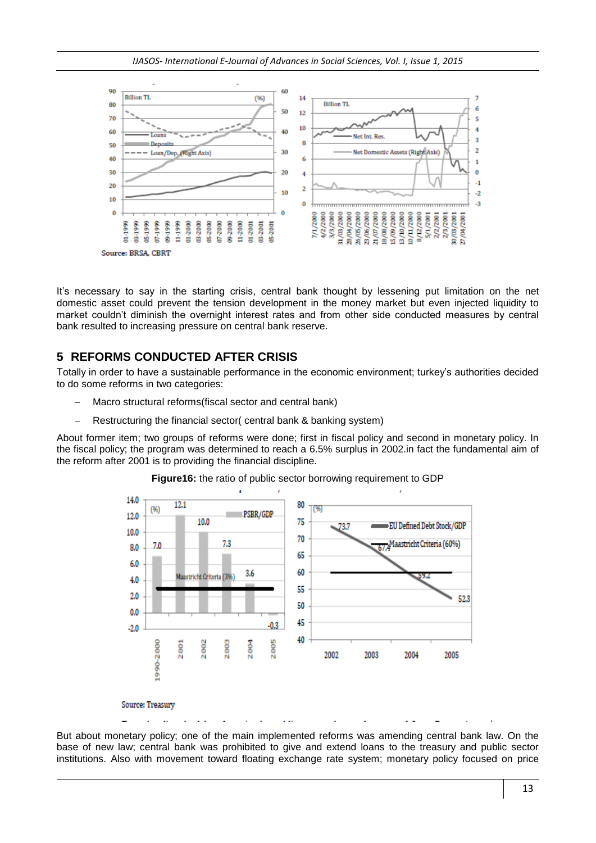*IJASOS- International E-Journal of Advances in Social Sciences, Vol. I, Issue 1, 2015*



It's necessary to say in the starting crisis, central bank thought by lessening put limitation on the net domestic asset could prevent the tension development in the money market but even injected liquidity to market couldn't diminish the overnight interest rates and from other side conducted measures by central bank resulted to increasing pressure on central bank reserve.

# **5 REFORMS CONDUCTED AFTER CRISIS**

Totally in order to have a sustainable performance in the economic environment; turkey's authorities decided to do some reforms in two categories:

- Macro structural reforms(fiscal sector and central bank)
- Restructuring the financial sector( central bank & banking system)

About former item; two groups of reforms were done; first in fiscal policy and second in monetary policy. In the fiscal policy; the program was determined to reach a 6.5% surplus in 2002.in fact the fundamental aim of the reform after 2001 is to providing the financial discipline.



**Figure16:** the ratio of public sector borrowing requirement to GDP

But about monetary policy; one of the main implemented reforms was amending central bank law. On the base of new law; central bank was prohibited to give and extend loans to the treasury and public sector institutions. Also with movement toward floating exchange rate system; monetary policy focused on price

.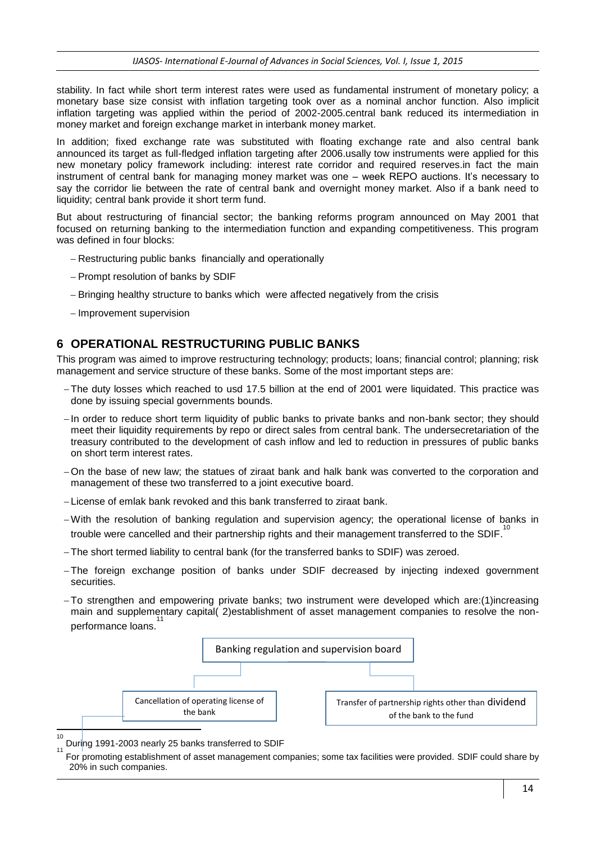stability. In fact while short term interest rates were used as fundamental instrument of monetary policy; a monetary base size consist with inflation targeting took over as a nominal anchor function. Also implicit inflation targeting was applied within the period of 2002-2005.central bank reduced its intermediation in money market and foreign exchange market in interbank money market.

In addition; fixed exchange rate was substituted with floating exchange rate and also central bank announced its target as full-fledged inflation targeting after 2006.usally tow instruments were applied for this new monetary policy framework including: interest rate corridor and required reserves.in fact the main instrument of central bank for managing money market was one – week REPO auctions. It's necessary to say the corridor lie between the rate of central bank and overnight money market. Also if a bank need to liquidity; central bank provide it short term fund.

But about restructuring of financial sector; the banking reforms program announced on May 2001 that focused on returning banking to the intermediation function and expanding competitiveness. This program was defined in four blocks:

- Restructuring public banks financially and operationally
- Prompt resolution of banks by SDIF
- Bringing healthy structure to banks which were affected negatively from the crisis
- Improvement supervision

# **6 OPERATIONAL RESTRUCTURING PUBLIC BANKS**

This program was aimed to improve restructuring technology; products; loans; financial control; planning; risk management and service structure of these banks. Some of the most important steps are:

- The duty losses which reached to usd 17.5 billion at the end of 2001 were liquidated. This practice was done by issuing special governments bounds.
- In order to reduce short term liquidity of public banks to private banks and non-bank sector; they should meet their liquidity requirements by repo or direct sales from central bank. The undersecretariation of the treasury contributed to the development of cash inflow and led to reduction in pressures of public banks on short term interest rates.
- On the base of new law; the statues of ziraat bank and halk bank was converted to the corporation and management of these two transferred to a joint executive board.
- -License of emlak bank revoked and this bank transferred to ziraat bank.
- -With the resolution of banking regulation and supervision agency; the operational license of banks in trouble were cancelled and their partnership rights and their management transferred to the SDIF.<sup>10</sup>
- The short termed liability to central bank (for the transferred banks to SDIF) was zeroed.
- The foreign exchange position of banks under SDIF decreased by injecting indexed government securities.
- To strengthen and empowering private banks; two instrument were developed which are:(1)increasing main and supplementary capital( 2)establishment of asset management companies to resolve the nonperformance loans. 11



During 1991-2003 nearly 25 banks transferred to SDIF

11 For promoting establishment of asset management companies; some tax facilities were provided. SDIF could share by 20% in such companies.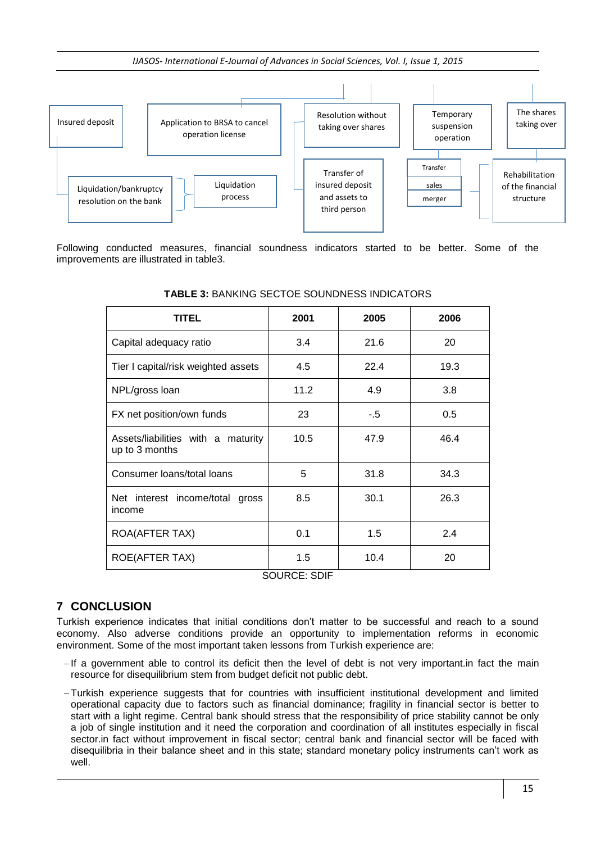*IJASOS- International E-Journal of Advances in Social Sciences, Vol. I, Issue 1, 2015*



Following conducted measures, financial soundness indicators started to be better. Some of the improvements are illustrated in table3.

| <b>TITEL</b>                                         | 2001 | 2005 | 2006 |
|------------------------------------------------------|------|------|------|
| Capital adequacy ratio                               | 3.4  | 21.6 | 20   |
| Tier I capital/risk weighted assets                  | 4.5  | 22.4 | 19.3 |
| NPL/gross loan                                       | 11.2 | 4.9  | 3.8  |
| FX net position/own funds                            | 23   | -.5  | 0.5  |
| Assets/liabilities with a maturity<br>up to 3 months | 10.5 | 47.9 | 46.4 |
| Consumer loans/total loans                           | 5    | 31.8 | 34.3 |
| Net interest income/total gross<br>income            | 8.5  | 30.1 | 26.3 |
| ROA(AFTER TAX)                                       | 0.1  | 1.5  | 2.4  |
| <b>ROE(AFTER TAX)</b>                                | 1.5  | 10.4 | 20   |

#### **TABLE 3:** BANKING SECTOE SOUNDNESS INDICATORS

SOURCE: SDIF

# **7 CONCLUSION**

Turkish experience indicates that initial conditions don't matter to be successful and reach to a sound economy. Also adverse conditions provide an opportunity to implementation reforms in economic environment. Some of the most important taken lessons from Turkish experience are:

- -If a government able to control its deficit then the level of debt is not very important. In fact the main resource for disequilibrium stem from budget deficit not public debt.
- -Turkish experience suggests that for countries with insufficient institutional development and limited operational capacity due to factors such as financial dominance; fragility in financial sector is better to start with a light regime. Central bank should stress that the responsibility of price stability cannot be only a job of single institution and it need the corporation and coordination of all institutes especially in fiscal sector.in fact without improvement in fiscal sector; central bank and financial sector will be faced with disequilibria in their balance sheet and in this state; standard monetary policy instruments can't work as well.